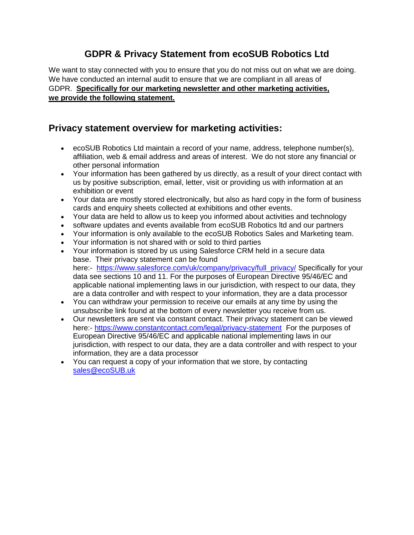# **GDPR & Privacy Statement from ecoSUB Robotics Ltd**

We want to stay connected with you to ensure that you do not miss out on what we are doing. We have conducted an internal audit to ensure that we are compliant in all areas of GDPR. **Specifically for our marketing newsletter and other marketing activities, we provide the following statement.**

## **Privacy statement overview for marketing activities:**

- ecoSUB Robotics Ltd maintain a record of your name, address, telephone number(s), affiliation, web & email address and areas of interest. We do not store any financial or other personal information
- Your information has been gathered by us directly, as a result of your direct contact with us by positive subscription, email, letter, visit or providing us with information at an exhibition or event
- Your data are mostly stored electronically, but also as hard copy in the form of business cards and enquiry sheets collected at exhibitions and other events.
- Your data are held to allow us to keep you informed about activities and technology
- software updates and events available from ecoSUB Robotics ltd and our partners
- Your information is only available to the ecoSUB Robotics Sales and Marketing team.
- Your information is not shared with or sold to third parties
- Your information is stored by us using Salesforce CRM held in a secure data base. Their privacy statement can be found here:- [https://www.salesforce.com/uk/company/privacy/full\\_privacy/](http://r20.rs6.net/tn.jsp?f=0018yryEAY6tlu0QrS_TtcfOq9Vp9HpX1_kr-jEQsKV3GrErxX0uh6k2UJlJ6-S__eMTFcW_-AESNhMgH0E8TWMVxq7_Adly1iCGrTgzMwTZ0aazOJfasEfz5nRXfqypA5agi8kdFKyGxbthX3hhF3FSoUvChk4JBXDeR08XBazkDxwPsEfgt6WARlAiMWzsInq41B6BC3l4TYFzf12jRTHSsa-9_Hap2UXu5Ueifn19Ig=&c=A4y6tYPJdnxocXXEfQg8pySmjXigx_-VHh6l_Zfl6zOy97h7Wkp_PA==&ch=XovpOTNF_BZWu517Sk5fqS_l2cje2QlO7WobVRF27rf9wu16fLerWw==) Specifically for your data see sections 10 and 11. For the purposes of European Directive 95/46/EC and applicable national implementing laws in our jurisdiction, with respect to our data, they are a data controller and with respect to your information, they are a data processor
- You can withdraw your permission to receive our emails at any time by using the unsubscribe link found at the bottom of every newsletter you receive from us.
- Our newsletters are sent via constant contact. Their privacy statement can be viewed here:- [https://www.constantcontact.com/legal/privacy-statement](http://r20.rs6.net/tn.jsp?f=0018yryEAY6tlu0QrS_TtcfOq9Vp9HpX1_kr-jEQsKV3GrErxX0uh6k2UJlJ6-S__eMug9yHBXh28AKoviHf_FNaZbmGCKsDU7lzp0M1XrsV9b7tlF1OUqZv2C-NaCYPUZDA7tK0d0UfX0ureFFTag76Z1cpk7aGnw1_LhoyYaKPTmhc1nf30FNxT9l8xHgWNdGOjLe33vWl3ikRVLkBTnFrg==&c=A4y6tYPJdnxocXXEfQg8pySmjXigx_-VHh6l_Zfl6zOy97h7Wkp_PA==&ch=XovpOTNF_BZWu517Sk5fqS_l2cje2QlO7WobVRF27rf9wu16fLerWw==) For the purposes of European Directive 95/46/EC and applicable national implementing laws in our jurisdiction, with respect to our data, they are a data controller and with respect to your information, they are a data processor
- You can request a copy of your information that we store, by contacting [sales@ecoSUB.uk](mailto:sales@ecoSUB.uk)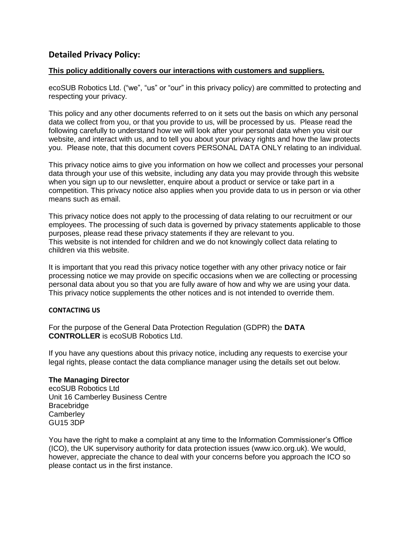## **Detailed Privacy Policy:**

## **This policy additionally covers our interactions with customers and suppliers.**

ecoSUB Robotics Ltd. ("we", "us" or "our" in this privacy policy) are committed to protecting and respecting your privacy.

This policy and any other documents referred to on it sets out the basis on which any personal data we collect from you, or that you provide to us, will be processed by us. Please read the following carefully to understand how we will look after your personal data when you visit our website, and interact with us, and to tell you about your privacy rights and how the law protects you. Please note, that this document covers PERSONAL DATA ONLY relating to an individual.

This privacy notice aims to give you information on how we collect and processes your personal data through your use of this website, including any data you may provide through this website when you sign up to our newsletter, enquire about a product or service or take part in a competition. This privacy notice also applies when you provide data to us in person or via other means such as email.

This privacy notice does not apply to the processing of data relating to our recruitment or our employees. The processing of such data is governed by privacy statements applicable to those purposes, please read these privacy statements if they are relevant to you. This website is not intended for children and we do not knowingly collect data relating to children via this website.

It is important that you read this privacy notice together with any other privacy notice or fair processing notice we may provide on specific occasions when we are collecting or processing personal data about you so that you are fully aware of how and why we are using your data. This privacy notice supplements the other notices and is not intended to override them.

## **CONTACTING US**

For the purpose of the General Data Protection Regulation (GDPR) the **DATA CONTROLLER** is ecoSUB Robotics Ltd.

If you have any questions about this privacy notice, including any requests to exercise your legal rights, please contact the data compliance manager using the details set out below.

#### **The Managing Director**

ecoSUB Robotics Ltd Unit 16 Camberley Business Centre **Bracebridge Camberley** GU15 3DP

You have the right to make a complaint at any time to the Information Commissioner's Office (ICO), the UK supervisory authority for data protection issues [\(www.ico.org.uk\)](http://www.ico.org.uk/). We would, however, appreciate the chance to deal with your concerns before you approach the ICO so please contact us in the first instance.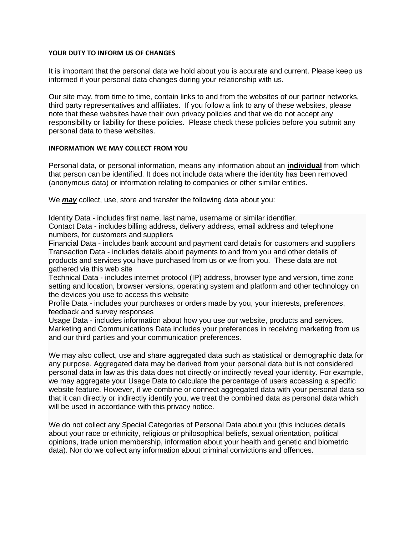## **YOUR DUTY TO INFORM US OF CHANGES**

It is important that the personal data we hold about you is accurate and current. Please keep us informed if your personal data changes during your relationship with us.

Our site may, from time to time, contain links to and from the websites of our partner networks, third party representatives and affiliates. If you follow a link to any of these websites, please note that these websites have their own privacy policies and that we do not accept any responsibility or liability for these policies. Please check these policies before you submit any personal data to these websites.

### **INFORMATION WE MAY COLLECT FROM YOU**

Personal data, or personal information, means any information about an **individual** from which that person can be identified. It does not include data where the identity has been removed (anonymous data) or information relating to companies or other similar entities.

We *may* collect, use, store and transfer the following data about you:

Identity Data - includes first name, last name, username or similar identifier, Contact Data - includes billing address, delivery address, email address and telephone numbers, for customers and suppliers

Financial Data - includes bank account and payment card details for customers and suppliers Transaction Data - includes details about payments to and from you and other details of products and services you have purchased from us or we from you. These data are not gathered via this web site

Technical Data - includes internet protocol (IP) address, browser type and version, time zone setting and location, browser versions, operating system and platform and other technology on the devices you use to access this website

Profile Data - includes your purchases or orders made by you, your interests, preferences, feedback and survey responses

Usage Data - includes information about how you use our website, products and services. Marketing and Communications Data includes your preferences in receiving marketing from us and our third parties and your communication preferences.

We may also collect, use and share aggregated data such as statistical or demographic data for any purpose. Aggregated data may be derived from your personal data but is not considered personal data in law as this data does not directly or indirectly reveal your identity. For example, we may aggregate your Usage Data to calculate the percentage of users accessing a specific website feature. However, if we combine or connect aggregated data with your personal data so that it can directly or indirectly identify you, we treat the combined data as personal data which will be used in accordance with this privacy notice.

We do not collect any Special Categories of Personal Data about you (this includes details about your race or ethnicity, religious or philosophical beliefs, sexual orientation, political opinions, trade union membership, information about your health and genetic and biometric data). Nor do we collect any information about criminal convictions and offences.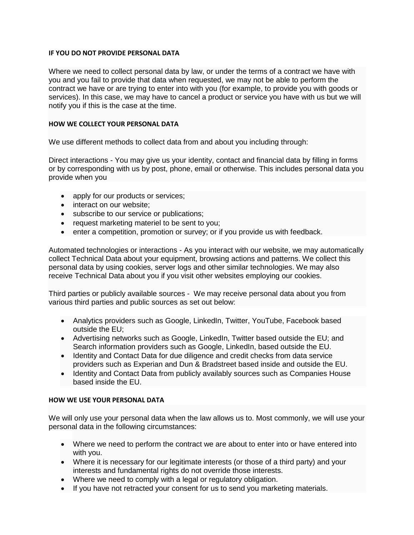## **IF YOU DO NOT PROVIDE PERSONAL DATA**

Where we need to collect personal data by law, or under the terms of a contract we have with you and you fail to provide that data when requested, we may not be able to perform the contract we have or are trying to enter into with you (for example, to provide you with goods or services). In this case, we may have to cancel a product or service you have with us but we will notify you if this is the case at the time.

## **HOW WE COLLECT YOUR PERSONAL DATA**

We use different methods to collect data from and about you including through:

Direct interactions - You may give us your identity, contact and financial data by filling in forms or by corresponding with us by post, phone, email or otherwise. This includes personal data you provide when you

- apply for our products or services;
- interact on our website;
- subscribe to our service or publications;
- request marketing materiel to be sent to you;
- enter a competition, promotion or survey; or if you provide us with feedback.

Automated technologies or interactions - As you interact with our website, we may automatically collect Technical Data about your equipment, browsing actions and patterns. We collect this personal data by using cookies, server logs and other similar technologies. We may also receive Technical Data about you if you visit other websites employing our cookies.

Third parties or publicly available sources - We may receive personal data about you from various third parties and public sources as set out below:

- Analytics providers such as Google, LinkedIn, Twitter, YouTube, Facebook based outside the EU;
- Advertising networks such as Google, LinkedIn, Twitter based outside the EU; and Search information providers such as Google, LinkedIn, based outside the EU.
- Identity and Contact Data for due diligence and credit checks from data service providers such as Experian and Dun & Bradstreet based inside and outside the EU.
- Identity and Contact Data from publicly availably sources such as Companies House based inside the EU.

## **HOW WE USE YOUR PERSONAL DATA**

We will only use your personal data when the law allows us to. Most commonly, we will use your personal data in the following circumstances:

- Where we need to perform the contract we are about to enter into or have entered into with you.
- Where it is necessary for our legitimate interests (or those of a third party) and your interests and fundamental rights do not override those interests.
- Where we need to comply with a legal or regulatory obligation.
- If you have not retracted your consent for us to send you marketing materials.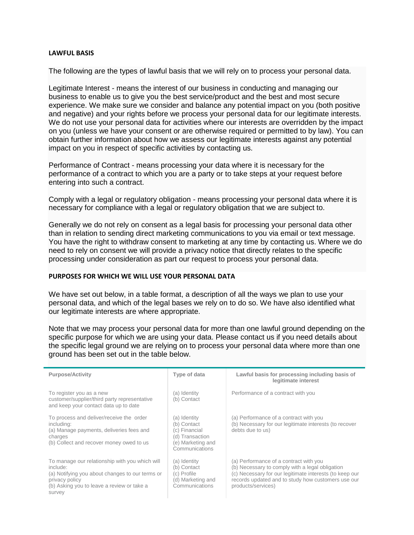#### **LAWFUL BASIS**

The following are the types of lawful basis that we will rely on to process your personal data.

Legitimate Interest - means the interest of our business in conducting and managing our business to enable us to give you the best service/product and the best and most secure experience. We make sure we consider and balance any potential impact on you (both positive and negative) and your rights before we process your personal data for our legitimate interests. We do not use your personal data for activities where our interests are overridden by the impact on you (unless we have your consent or are otherwise required or permitted to by law). You can obtain further information about how we assess our legitimate interests against any potential impact on you in respect of specific activities by contacting us.

Performance of Contract - means processing your data where it is necessary for the performance of a contract to which you are a party or to take steps at your request before entering into such a contract.

Comply with a legal or regulatory obligation - means processing your personal data where it is necessary for compliance with a legal or regulatory obligation that we are subject to.

Generally we do not rely on consent as a legal basis for processing your personal data other than in relation to sending direct marketing communications to you via email or text message. You have the right to withdraw consent to marketing at any time by contacting us. Where we do need to rely on consent we will provide a privacy notice that directly relates to the specific processing under consideration as part our request to process your personal data.

#### **PURPOSES FOR WHICH WE WILL USE YOUR PERSONAL DATA**

We have set out below, in a table format, a description of all the ways we plan to use your personal data, and which of the legal bases we rely on to do so. We have also identified what our legitimate interests are where appropriate.

Note that we may process your personal data for more than one lawful ground depending on the specific purpose for which we are using your data. Please contact us if you need details about the specific legal ground we are relying on to process your personal data where more than one ground has been set out in the table below.

| <b>Purpose/Activity</b>                                                                                                                                                                 | Type of data                                                                                           | Lawful basis for processing including basis of<br>legitimate interest                                                                                                                                                            |
|-----------------------------------------------------------------------------------------------------------------------------------------------------------------------------------------|--------------------------------------------------------------------------------------------------------|----------------------------------------------------------------------------------------------------------------------------------------------------------------------------------------------------------------------------------|
| To register you as a new<br>customer/supplier/third party representative<br>and keep your contact data up to date                                                                       | (a) Identity<br>(b) Contact                                                                            | Performance of a contract with you                                                                                                                                                                                               |
| To process and deliver/receive the order<br>including:<br>(a) Manage payments, deliveries fees and<br>charges<br>(b) Collect and recover money owed to us                               | (a) Identity<br>(b) Contact<br>(c) Financial<br>(d) Transaction<br>(e) Marketing and<br>Communications | (a) Performance of a contract with you<br>(b) Necessary for our legitimate interests (to recover<br>debts due to us)                                                                                                             |
| To manage our relationship with you which will<br>include:<br>(a) Notifying you about changes to our terms or<br>privacy policy<br>(b) Asking you to leave a review or take a<br>survey | (a) Identity<br>(b) Contact<br>(c) Profile<br>(d) Marketing and<br>Communications                      | (a) Performance of a contract with you<br>(b) Necessary to comply with a legal obligation<br>(c) Necessary for our legitimate interests (to keep our<br>records updated and to study how customers use our<br>products/services) |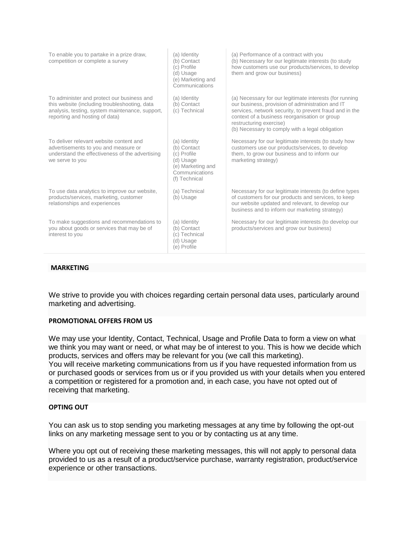| To enable you to partake in a prize draw,<br>competition or complete a survey                                                                                                    | (a) Identity<br>(b) Contact<br>(c) Profile<br>(d) Usage<br>(e) Marketing and<br>Communications                  | (a) Performance of a contract with you<br>(b) Necessary for our legitimate interests (to study<br>how customers use our products/services, to develop<br>them and grow our business)                                                                                                                  |
|----------------------------------------------------------------------------------------------------------------------------------------------------------------------------------|-----------------------------------------------------------------------------------------------------------------|-------------------------------------------------------------------------------------------------------------------------------------------------------------------------------------------------------------------------------------------------------------------------------------------------------|
| To administer and protect our business and<br>this website (including troubleshooting, data<br>analysis, testing, system maintenance, support,<br>reporting and hosting of data) | (a) Identity<br>(b) Contact<br>(c) Technical                                                                    | (a) Necessary for our legitimate interests (for running<br>our business, provision of administration and IT<br>services, network security, to prevent fraud and in the<br>context of a business reorganisation or group<br>restructuring exercise)<br>(b) Necessary to comply with a legal obligation |
| To deliver relevant website content and<br>advertisements to you and measure or<br>understand the effectiveness of the advertising<br>we serve to you                            | (a) Identity<br>(b) Contact<br>(c) Profile<br>(d) Usage<br>(e) Marketing and<br>Communications<br>(f) Technical | Necessary for our legitimate interests (to study how<br>customers use our products/services, to develop<br>them, to grow our business and to inform our<br>marketing strategy)                                                                                                                        |
| To use data analytics to improve our website,<br>products/services, marketing, customer<br>relationships and experiences                                                         | (a) Technical<br>(b) Usage                                                                                      | Necessary for our legitimate interests (to define types<br>of customers for our products and services, to keep<br>our website updated and relevant, to develop our<br>business and to inform our marketing strategy)                                                                                  |
| To make suggestions and recommendations to<br>you about goods or services that may be of<br>interest to you                                                                      | (a) Identity<br>(b) Contact<br>(c) Technical<br>(d) Usage<br>(e) Profile                                        | Necessary for our legitimate interests (to develop our<br>products/services and grow our business)                                                                                                                                                                                                    |

#### **MARKETING**

We strive to provide you with choices regarding certain personal data uses, particularly around marketing and advertising.

#### **PROMOTIONAL OFFERS FROM US**

We may use your Identity, Contact, Technical, Usage and Profile Data to form a view on what we think you may want or need, or what may be of interest to you. This is how we decide which products, services and offers may be relevant for you (we call this marketing). You will receive marketing communications from us if you have requested information from us or purchased goods or services from us or if you provided us with your details when you entered a competition or registered for a promotion and, in each case, you have not opted out of receiving that marketing.

#### **OPTING OUT**

You can ask us to stop sending you marketing messages at any time by following the opt-out links on any marketing message sent to you or by contacting us at any time.

Where you opt out of receiving these marketing messages, this will not apply to personal data provided to us as a result of a product/service purchase, warranty registration, product/service experience or other transactions.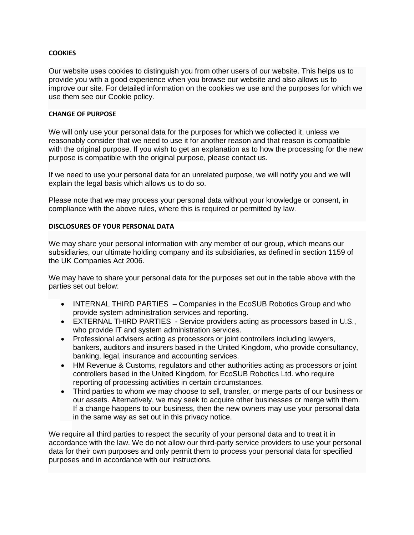## **COOKIES**

Our website uses cookies to distinguish you from other users of our website. This helps us to provide you with a good experience when you browse our website and also allows us to improve our site. For detailed information on the cookies we use and the purposes for which we use them see our Cookie policy.

#### **CHANGE OF PURPOSE**

We will only use your personal data for the purposes for which we collected it, unless we reasonably consider that we need to use it for another reason and that reason is compatible with the original purpose. If you wish to get an explanation as to how the processing for the new purpose is compatible with the original purpose, please contact us.

If we need to use your personal data for an unrelated purpose, we will notify you and we will explain the legal basis which allows us to do so.

Please note that we may process your personal data without your knowledge or consent, in compliance with the above rules, where this is required or permitted by law.

### **DISCLOSURES OF YOUR PERSONAL DATA**

We may share your personal information with any member of our group, which means our subsidiaries, our ultimate holding company and its subsidiaries, as defined in section 1159 of the UK Companies Act 2006.

We may have to share your personal data for the purposes set out in the table above with the parties set out below:

- INTERNAL THIRD PARTIES Companies in the EcoSUB Robotics Group and who provide system administration services and reporting.
- EXTERNAL THIRD PARTIES Service providers acting as processors based in U.S., who provide IT and system administration services.
- Professional advisers acting as processors or joint controllers including lawyers, bankers, auditors and insurers based in the United Kingdom, who provide consultancy, banking, legal, insurance and accounting services.
- HM Revenue & Customs, regulators and other authorities acting as processors or joint controllers based in the United Kingdom, for EcoSUB Robotics Ltd. who require reporting of processing activities in certain circumstances.
- Third parties to whom we may choose to sell, transfer, or merge parts of our business or our assets. Alternatively, we may seek to acquire other businesses or merge with them. If a change happens to our business, then the new owners may use your personal data in the same way as set out in this privacy notice.

We require all third parties to respect the security of your personal data and to treat it in accordance with the law. We do not allow our third-party service providers to use your personal data for their own purposes and only permit them to process your personal data for specified purposes and in accordance with our instructions.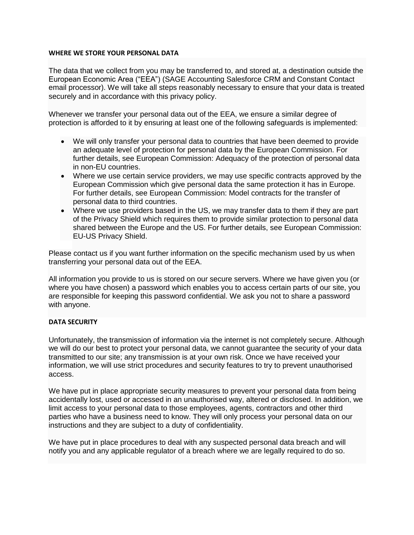#### **WHERE WE STORE YOUR PERSONAL DATA**

The data that we collect from you may be transferred to, and stored at, a destination outside the European Economic Area ("EEA") (SAGE Accounting Salesforce CRM and Constant Contact email processor). We will take all steps reasonably necessary to ensure that your data is treated securely and in accordance with this privacy policy.

Whenever we transfer your personal data out of the EEA, we ensure a similar degree of protection is afforded to it by ensuring at least one of the following safeguards is implemented:

- We will only transfer your personal data to countries that have been deemed to provide an adequate level of protection for personal data by the European Commission. For further details, see [European Commission: Adequacy of the protection of personal data](https://ec.europa.eu/info/law/law-topic/data-protection/data-transfers-outside-eu/adequacy-protection-personal-data-non-eu-countries_en)  [in non-EU countries.](https://ec.europa.eu/info/law/law-topic/data-protection/data-transfers-outside-eu/adequacy-protection-personal-data-non-eu-countries_en)
- Where we use certain service providers, we may use specific contracts approved by the European Commission which give personal data the same protection it has in Europe. For further details, see [European Commission: Model contracts for the transfer of](https://ec.europa.eu/info/strategy/justice-and-fundamental-rights/data-protection/data-transfers-outside-eu/model-contracts-transfer-personal-data-third-countries_en)  [personal data to third countries.](https://ec.europa.eu/info/strategy/justice-and-fundamental-rights/data-protection/data-transfers-outside-eu/model-contracts-transfer-personal-data-third-countries_en)
- Where we use providers based in the US, we may transfer data to them if they are part of the Privacy Shield which requires them to provide similar protection to personal data shared between the Europe and the US. For further details, see [European Commission:](https://ec.europa.eu/info/strategy/justice-and-fundamental-rights/data-protection/data-transfers-outside-eu/eu-us-privacy-shield_en)  EU-US [Privacy Shield.](https://ec.europa.eu/info/strategy/justice-and-fundamental-rights/data-protection/data-transfers-outside-eu/eu-us-privacy-shield_en)

Please contact us if you want further information on the specific mechanism used by us when transferring your personal data out of the EEA.

All information you provide to us is stored on our secure servers. Where we have given you (or where you have chosen) a password which enables you to access certain parts of our site, you are responsible for keeping this password confidential. We ask you not to share a password with anyone.

## **DATA SECURITY**

Unfortunately, the transmission of information via the internet is not completely secure. Although we will do our best to protect your personal data, we cannot guarantee the security of your data transmitted to our site; any transmission is at your own risk. Once we have received your information, we will use strict procedures and security features to try to prevent unauthorised access.

We have put in place appropriate security measures to prevent your personal data from being accidentally lost, used or accessed in an unauthorised way, altered or disclosed. In addition, we limit access to your personal data to those employees, agents, contractors and other third parties who have a business need to know. They will only process your personal data on our instructions and they are subject to a duty of confidentiality.

We have put in place procedures to deal with any suspected personal data breach and will notify you and any applicable regulator of a breach where we are legally required to do so.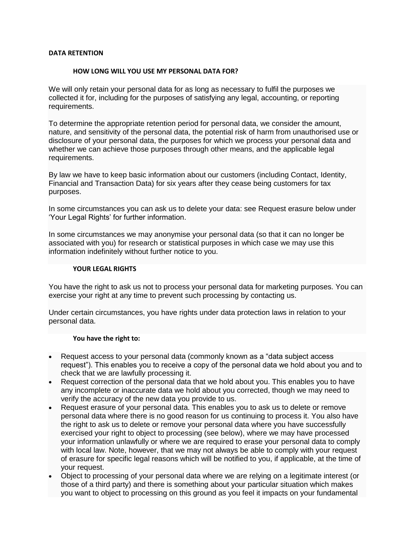## **DATA RETENTION**

#### **HOW LONG WILL YOU USE MY PERSONAL DATA FOR?**

We will only retain your personal data for as long as necessary to fulfil the purposes we collected it for, including for the purposes of satisfying any legal, accounting, or reporting requirements.

To determine the appropriate retention period for personal data, we consider the amount, nature, and sensitivity of the personal data, the potential risk of harm from unauthorised use or disclosure of your personal data, the purposes for which we process your personal data and whether we can achieve those purposes through other means, and the applicable legal requirements.

By law we have to keep basic information about our customers (including Contact, Identity, Financial and Transaction Data) for six years after they cease being customers for tax purposes.

In some circumstances you can ask us to delete your data: see Request erasure below under 'Your Legal Rights' for further information.

In some circumstances we may anonymise your personal data (so that it can no longer be associated with you) for research or statistical purposes in which case we may use this information indefinitely without further notice to you.

#### **YOUR LEGAL RIGHTS**

You have the right to ask us not to process your personal data for marketing purposes. You can exercise your right at any time to prevent such processing by contacting us.

Under certain circumstances, you have rights under data protection laws in relation to your personal data.

#### **You have the right to:**

- Request access to your personal data (commonly known as a "data subject access request"). This enables you to receive a copy of the personal data we hold about you and to check that we are lawfully processing it.
- Request correction of the personal data that we hold about you. This enables you to have any incomplete or inaccurate data we hold about you corrected, though we may need to verify the accuracy of the new data you provide to us.
- Request erasure of your personal data. This enables you to ask us to delete or remove personal data where there is no good reason for us continuing to process it. You also have the right to ask us to delete or remove your personal data where you have successfully exercised your right to object to processing (see below), where we may have processed your information unlawfully or where we are required to erase your personal data to comply with local law. Note, however, that we may not always be able to comply with your request of erasure for specific legal reasons which will be notified to you, if applicable, at the time of your request.
- Object to processing of your personal data where we are relying on a legitimate interest (or those of a third party) and there is something about your particular situation which makes you want to object to processing on this ground as you feel it impacts on your fundamental